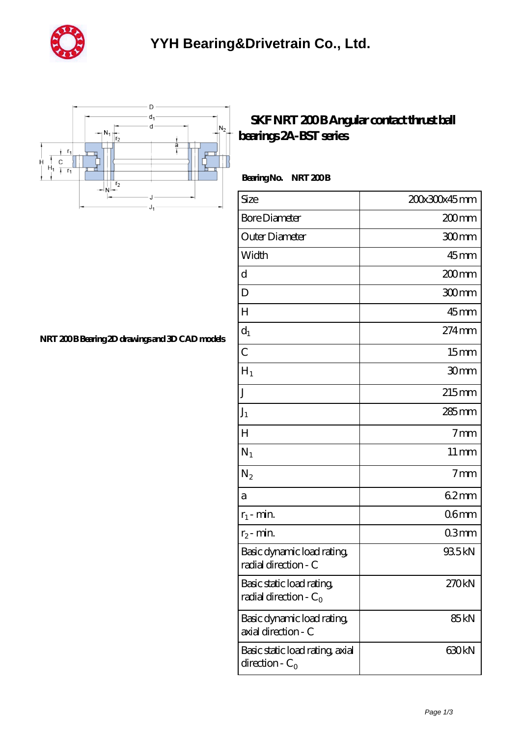



## **SKF NRT 200B Angular contact thrust ball [bearings 2A-BST series](https://m.ukryk.com/bd-149275-skf-nrt-200-b-angular-contact-thrust-ball-bearings-2a-bst-series.html)**

Bearing No. NRT 200B

| Size                                                  | 200x300x45mm       |
|-------------------------------------------------------|--------------------|
| <b>Bore Diameter</b>                                  | 200mm              |
| Outer Diameter                                        | 300mm              |
| Width                                                 | $45$ mm            |
| d                                                     | $200$ mm           |
| D                                                     | 300mm              |
| H                                                     | $45$ <sub>mm</sub> |
| $d_1$                                                 | 274mm              |
| $\overline{C}$                                        | 15 <sub>mm</sub>   |
| $H_1$                                                 | 30 <sub>mm</sub>   |
| J                                                     | $215$ mm           |
| $J_1$                                                 | 285 mm             |
| H                                                     | 7 <sub>mm</sub>    |
| $N_1$                                                 | $11 \,\mathrm{mm}$ |
| $\rm N_2$                                             | 7 <sub>mm</sub>    |
| а                                                     | 62mm               |
| $r_1$ - min.                                          | 06 <sub>mm</sub>   |
| $r_2$ - min.                                          | 03mm               |
| Basic dynamic load rating<br>radial direction - C     | 935kN              |
| Basic static load rating,<br>radial direction - $C_0$ | 270kN              |
| Basic dynamic load rating,<br>axial direction - C     | 85 <sub>kN</sub>   |
| Basic static load rating, axial<br>direction - $C_0$  | 630kN              |

**NRT 200B Bearing 2D drawings and 3D CAD models**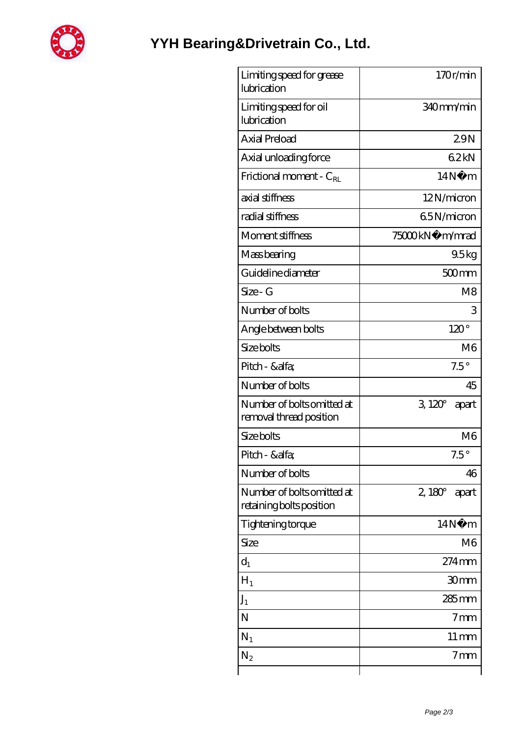

| Limiting speed for grease<br>lubrication               | 170r/min               |
|--------------------------------------------------------|------------------------|
| Limiting speed for oil<br>lubrication                  | 340mm/min              |
| Axial Preload                                          | 29N                    |
| Axial unloading force                                  | 62kN                   |
| Frictional moment - $C_{RL}$                           | 14N<br>m               |
| axial stiffness                                        | 12N/micron             |
| radial stiffness                                       | 65N/micron             |
| Moment stiffness                                       | 75000kN·<br>m/mrad     |
| Mass bearing                                           | 95kg                   |
| Guideline diameter                                     | $500$ mm               |
| Size - G                                               | M <sub>8</sub>         |
| Number of bolts                                        | 3                      |
| Angle between bolts                                    | $120^\circ$            |
| Size bolts                                             | M <sub>6</sub>         |
| Pitch - &alfa                                          | $7.5^\circ$            |
| Number of bolts                                        | 45                     |
| Number of bolts omitted at<br>removal thread position  | $3120^\circ$<br>apart  |
| Size bolts                                             | M <sub>6</sub>         |
| Pitch - &alfa                                          | $7.5^{\circ}$          |
| Number of bolts                                        | 46                     |
| Number of bolts omitted at<br>retaining bolts position | $2,180^\circ$<br>apart |
| Tightening torque                                      | 14N<br>m               |
| Size                                                   | M <sub>6</sub>         |
| $d_1$                                                  | $274$ mm               |
| $H_1$                                                  | 30mm                   |
| $J_1$                                                  | 285 mm                 |
| N                                                      | 7mm                    |
| $N_1$                                                  | $11 \,\mathrm{mm}$     |
| $N_2$                                                  | 7 <sub>mm</sub>        |
|                                                        |                        |